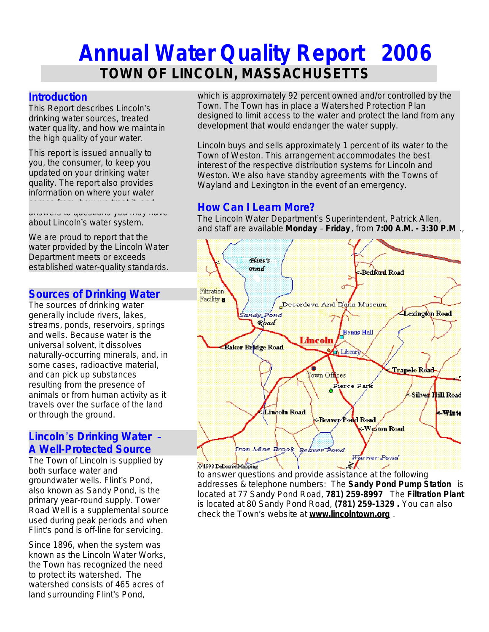# **Annual Water Quality Report 2006 TOWN OF LINCOLN, MASSACHUSETTS**

## **Introduction**

This Report describes Lincoln's drinking water sources, treated water quality, and how we maintain the high quality of your water.

This report is issued annually to you, the consumer, to keep you updated on your drinking water quality. The report also provides information on where your water comes from, how we treat it, and

answers to questions you may have about Lincoln's water system.

We are proud to report that the water provided by the Lincoln Water Department meets or exceeds established water-quality standards.

## **Sources of Drinking Water**

The sources of drinking water generally include rivers, lakes, streams, ponds, reservoirs, springs and wells. Because water is the universal solvent, it dissolves naturally-occurring minerals, and, in some cases, radioactive material, and can pick up substances resulting from the presence of animals or from human activity as it travels over the surface of the land or through the ground.

## **Lincoln**'**s Drinking Water** – **A Well-Protected Source**

The Town of Lincoln is supplied by both surface water and groundwater wells. Flint's Pond, also known as Sandy Pond, is the primary year-round supply. Tower Road Well is a supplemental source used during peak periods and when Flint's pond is off-line for servicing.

Since 1896, when the system was known as the Lincoln Water Works, the Town has recognized the need to protect its watershed. The watershed consists of 465 acres of land surrounding Flint's Pond,

which is approximately 92 percent owned and/or controlled by the Town. The Town has in place a Watershed Protection Plan designed to limit access to the water and protect the land from any development that would endanger the water supply.

Lincoln buys and sells approximately 1 percent of its water to the Town of Weston. This arrangement accommodates the best interest of the respective distribution systems for Lincoln and Weston. We also have standby agreements with the Towns of Wayland and Lexington in the event of an emergency.

# **How Can I Learn More?**

The Lincoln Water Department's Superintendent, Patrick Allen, and staff are available **Monday** – **Friday** , from **7:00 A.M. - 3:30 P.M** .,



to answer questions and provide assistance at the following addresses & telephone numbers: The **Sandy Pond Pump Station** is located at 77 Sandy Pond Road, **781) 259-8997** The **Filtration Plant** is located at 80 Sandy Pond Road, **(781) 259-1329 .** You can also check the Town's website at **www.lincolntown.org** .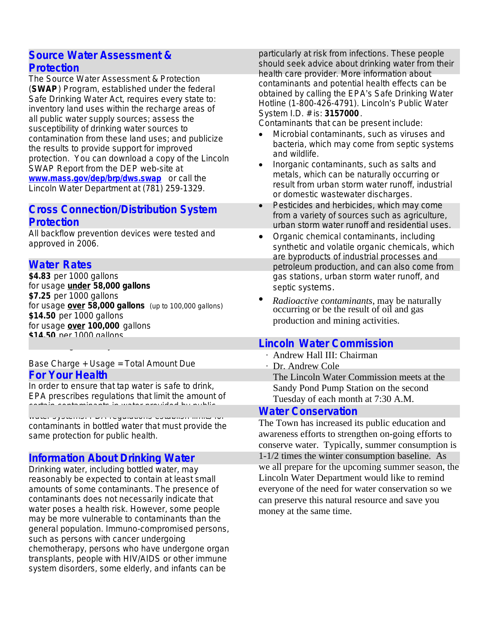## **Source Water Assessment & Protection**

The Source Water Assessment & Protection (**SWAP**) Program, established under the federal Safe Drinking Water Act, requires every state to: inventory land uses within the recharge areas of all public water supply sources; assess the susceptibility of drinking water sources to contamination from these land uses; and publicize the results to provide support for improved protection. You can download a copy of the Lincoln SWAP Report from the DEP web-site at **[www.mass.gov/dep/brp/dws.swap](http://www.mass.gov/dep/brp/dws.swap)** or call the Lincoln Water Department at (781) 259-1329.

# **Cross Connection/Distribution System Protection**

All backflow prevention devices were tested and approved in 2006.

# **Water Rates**

**\$4.83** per 1000 gallons for usage **under 58,000 gallons \$7.25** per 1000 gallons for usage **over 58,000 gallons** (up to 100,000 gallons) **\$14.50** per 1000 gallons for usage **over 100,000** gallons **\$14.50** per 1000 gallons

#### Base Charge + Usage = Total Amount Due **For Your Health**

for **ALL irrigation only meters**

In order to ensure that tap water is safe to drink, EPA prescribes regulations that limit the amount of certain contaminants in water provides by public and water provided by public  $\Gamma$  water public  $\Gamma$ 

water systems. FDA regulations establish limits for contaminants in bottled water that must provide the same protection for public health.

# **Information About Drinking Water**

Drinking water, including bottled water, may reasonably be expected to contain at least small amounts of some contaminants. The presence of contaminants does not necessarily indicate that water poses a health risk. However, some people may be more vulnerable to contaminants than the general population. Immuno-compromised persons, such as persons with cancer undergoing chemotherapy, persons who have undergone organ transplants, people with HIV/AIDS or other immune system disorders, some elderly, and infants can be

particularly at risk from infections. These people should seek advice about drinking water from their health care provider. More information about contaminants and potential health effects can be obtained by calling the EPA's Safe Drinking Water Hotline (1-800-426-4791). Lincoln's Public Water System I.D. # is: **3157000**.

Contaminants that can be present include:

- · *Microbial contaminants,* such as viruses and bacteria, which may come from septic systems and wildlife.
- · *Inorganic contaminants*, such as salts and metals, which can be naturally occurring or result from urban storm water runoff, industrial or domestic wastewater discharges.
- · *Pesticides and herbicides,* which may come from a variety of sources such as agriculture, urban storm water runoff and residential uses.
- · *Organic chemical contaminants*, including synthetic and volatile organic chemicals, which are byproducts of industrial processes and petroleum production, and can also come from gas stations, urban storm water runoff, and septic systems.
- · *Radioactive contaminants*, may be naturally occurring or be the result of oil and gas production and mining activities.

# **Lincoln Water Commission**

- ∙ Andrew Hall III: Chairman
- ∙ Dr. Andrew Cole The Lincoln Water Commission meets at the Sandy Pond Pump Station on the second Tuesday of each month at 7:30 A.M.

## **Water Conservation**

The Town has increased its public education and awareness efforts to strengthen on-going efforts to conserve water. Typically, summer consumption is 1-1/2 times the winter consumption baseline. As we all prepare for the upcoming summer season, the Lincoln Water Department would like to remind everyone of the need for water conservation so we can preserve this natural resource and save you money at the same time.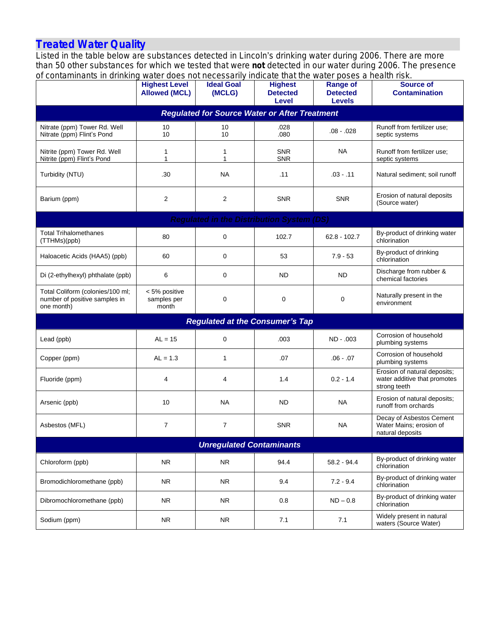## **Treated Water Quality**

Listed in the table below are substances detected in Lincoln's drinking water during 2006. There are more than 50 other substances for which we tested that were *not* detected in our water during 2006. The presence of contaminants in drinking water does not necessarily indicate that the water poses a health risk.

| or contaminanto in unimitiu                                                     | <b>Highest Level</b><br><b>Allowed (MCL)</b> | <b>Ideal Goal</b><br>(MCLG) | <b>Mater about not necessainly indicate that the Mater poses a health now.</b><br><b>Highest</b><br><b>Detected</b><br>Level | <b>Range of</b><br><b>Detected</b><br><b>Levels</b> | <b>Source of</b><br><b>Contamination</b>                                     |  |  |
|---------------------------------------------------------------------------------|----------------------------------------------|-----------------------------|------------------------------------------------------------------------------------------------------------------------------|-----------------------------------------------------|------------------------------------------------------------------------------|--|--|
| <b>Regulated for Source Water or After Treatment</b>                            |                                              |                             |                                                                                                                              |                                                     |                                                                              |  |  |
| Nitrate (ppm) Tower Rd. Well<br>Nitrate (ppm) Flint's Pond                      | 10<br>10                                     | 10<br>10                    | .028<br>.080                                                                                                                 | $.08 - .028$                                        | Runoff from fertilizer use;<br>septic systems                                |  |  |
| Nitrite (ppm) Tower Rd. Well<br>Nitrite (ppm) Flint's Pond                      | 1<br>1                                       | 1<br>1                      | <b>SNR</b><br><b>SNR</b>                                                                                                     | <b>NA</b>                                           | Runoff from fertilizer use;<br>septic systems                                |  |  |
| Turbidity (NTU)                                                                 | .30                                          | <b>NA</b>                   | .11                                                                                                                          | $.03 - .11$                                         | Natural sediment; soil runoff                                                |  |  |
| Barium (ppm)                                                                    | $\overline{2}$                               | $\overline{2}$              | <b>SNR</b>                                                                                                                   | <b>SNR</b>                                          | Erosion of natural deposits<br>(Source water)                                |  |  |
| <b>Regulated in the Distribution System (DS)</b>                                |                                              |                             |                                                                                                                              |                                                     |                                                                              |  |  |
| <b>Total Trihalomethanes</b><br>(TTHMs)(ppb)                                    | 80                                           | 0                           | 102.7                                                                                                                        | $62.8 - 102.7$                                      | By-product of drinking water<br>chlorination                                 |  |  |
| Haloacetic Acids (HAA5) (ppb)                                                   | 60                                           | 0                           | 53                                                                                                                           | $7.9 - 53$                                          | By-product of drinking<br>chlorination                                       |  |  |
| Di (2-ethylhexyl) phthalate (ppb)                                               | 6                                            | 0                           | ND.                                                                                                                          | <b>ND</b>                                           | Discharge from rubber &<br>chemical factories                                |  |  |
| Total Coliform (colonies/100 ml;<br>number of positive samples in<br>one month) | < 5% positive<br>samples per<br>month        | 0                           | $\mathbf 0$                                                                                                                  | 0                                                   | Naturally present in the<br>environment                                      |  |  |
| <b>Regulated at the Consumer's Tap</b>                                          |                                              |                             |                                                                                                                              |                                                     |                                                                              |  |  |
| Lead (ppb)                                                                      | $AL = 15$                                    | 0                           | .003                                                                                                                         | ND - .003                                           | Corrosion of household<br>plumbing systems                                   |  |  |
| Copper (ppm)                                                                    | $AL = 1.3$                                   | $\mathbf{1}$                | .07                                                                                                                          | $.06 - .07$                                         | Corrosion of household<br>plumbing systems                                   |  |  |
| Fluoride (ppm)                                                                  | $\overline{4}$                               | 4                           | 1.4                                                                                                                          | $0.2 - 1.4$                                         | Erosion of natural deposits;<br>water additive that promotes<br>strong teeth |  |  |
| Arsenic (ppb)                                                                   | 10                                           | <b>NA</b>                   | <b>ND</b>                                                                                                                    | <b>NA</b>                                           | Erosion of natural deposits;<br>runoff from orchards                         |  |  |
| Asbestos (MFL)                                                                  | $\overline{7}$                               | $\overline{7}$              | <b>SNR</b>                                                                                                                   | <b>NA</b>                                           | Decay of Asbestos Cement<br>Water Mains; erosion of<br>natural deposits      |  |  |
| <b>Unregulated Contaminants</b>                                                 |                                              |                             |                                                                                                                              |                                                     |                                                                              |  |  |
| Chloroform (ppb)                                                                | <b>NR</b>                                    | <b>NR</b>                   | 94.4                                                                                                                         | $58.2 - 94.4$                                       | By-product of drinking water<br>chlorination                                 |  |  |
| Bromodichloromethane (ppb)                                                      | <b>NR</b>                                    | <b>NR</b>                   | 9.4                                                                                                                          | $7.2 - 9.4$                                         | By-product of drinking water<br>chlorination                                 |  |  |
| Dibromochloromethane (ppb)                                                      | <b>NR</b>                                    | <b>NR</b>                   | 0.8                                                                                                                          | $ND - 0.8$                                          | By-product of drinking water<br>chlorination                                 |  |  |
| Sodium (ppm)                                                                    | <b>NR</b>                                    | <b>NR</b>                   | 7.1                                                                                                                          | 7.1                                                 | Widely present in natural<br>waters (Source Water)                           |  |  |